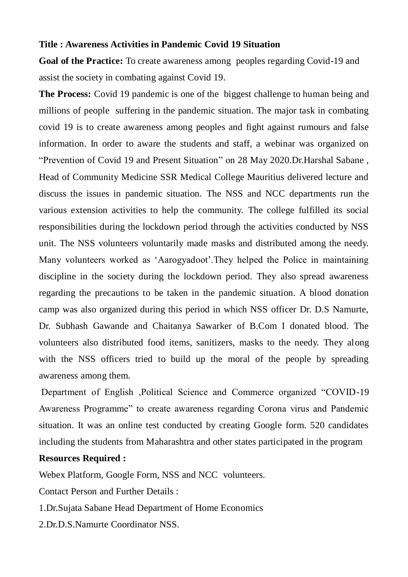## **Title : Awareness Activities in Pandemic Covid 19 Situation**

**Goal of the Practice:** To create awareness among peoples regarding Covid-19 and assist the society in combating against Covid 19.

**The Process:** Covid 19 pandemic is one of the biggest challenge to human being and millions of people suffering in the pandemic situation. The major task in combating covid 19 is to create awareness among peoples and fight against rumours and false information. In order to aware the students and staff, a webinar was organized on "Prevention of Covid 19 and Present Situation" on 28 May 2020.Dr.Harshal Sabane , Head of Community Medicine SSR Medical College Mauritius delivered lecture and discuss the issues in pandemic situation. The NSS and NCC departments run the various extension activities to help the community. The college fulfilled its social responsibilities during the lockdown period through the activities conducted by NSS unit. The NSS volunteers voluntarily made masks and distributed among the needy. Many volunteers worked as "Aarogyadoot".They helped the Police in maintaining discipline in the society during the lockdown period. They also spread awareness regarding the precautions to be taken in the pandemic situation. A blood donation camp was also organized during this period in which NSS officer Dr. D.S Namurte, Dr. Subhash Gawande and Chaitanya Sawarker of B.Com I donated blood. The volunteers also distributed food items, sanitizers, masks to the needy. They along with the NSS officers tried to build up the moral of the people by spreading awareness among them.

Department of English ,Political Science and Commerce organized "COVID-19 Awareness Programme" to create awareness regarding Corona virus and Pandemic situation. It was an online test conducted by creating Google form. 520 candidates including the students from Maharashtra and other states participated in the program

## **Resources Required :**

Webex Platform, Google Form, NSS and NCC volunteers.

Contact Person and Further Details :

1.Dr.Sujata Sabane Head Department of Home Economics

2.Dr.D.S.Namurte Coordinator NSS.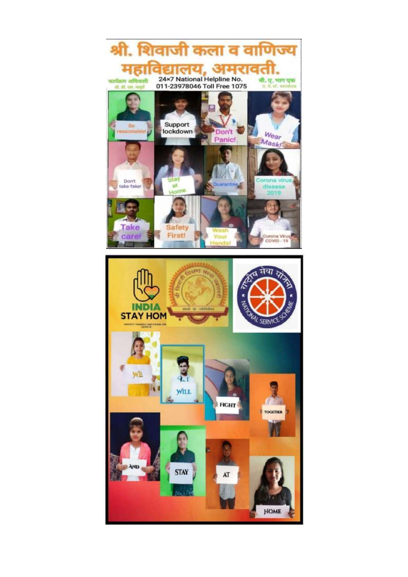